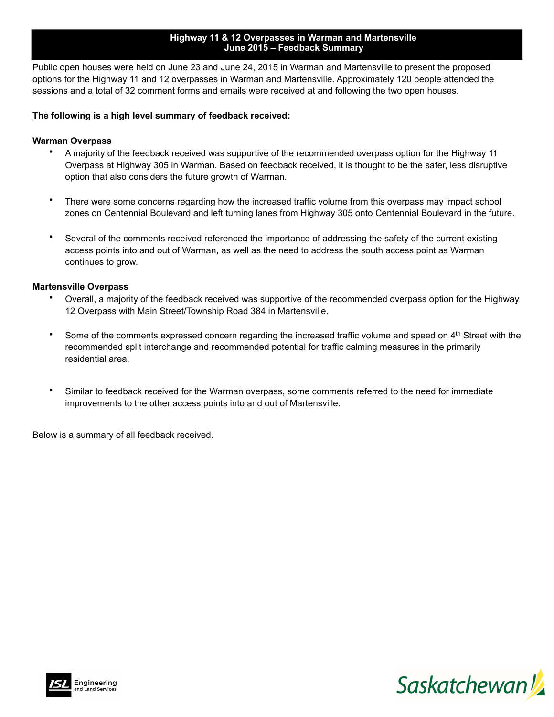#### **Highway 11 & 12 Overpasses in Warman and Martensville June 2015 – Feedback Summary**

Public open houses were held on June 23 and June 24, 2015 in Warman and Martensville to present the proposed options for the Highway 11 and 12 overpasses in Warman and Martensville. Approximately 120 people attended the sessions and a total of 32 comment forms and emails were received at and following the two open houses.

### **The following is a high level summary of feedback received:**

#### **Warman Overpass**

- A majority of the feedback received was supportive of the recommended overpass option for the Highway 11 Overpass at Highway 305 in Warman. Based on feedback received, it is thought to be the safer, less disruptive option that also considers the future growth of Warman.
- There were some concerns regarding how the increased traffic volume from this overpass may impact school zones on Centennial Boulevard and left turning lanes from Highway 305 onto Centennial Boulevard in the future.
- Several of the comments received referenced the importance of addressing the safety of the current existing access points into and out of Warman, as well as the need to address the south access point as Warman continues to grow.

#### **Martensville Overpass**

- Overall, a majority of the feedback received was supportive of the recommended overpass option for the Highway 12 Overpass with Main Street/Township Road 384 in Martensville.
- Some of the comments expressed concern regarding the increased traffic volume and speed on 4<sup>th</sup> Street with the recommended split interchange and recommended potential for traffic calming measures in the primarily residential area.
- Similar to feedback received for the Warman overpass, some comments referred to the need for immediate improvements to the other access points into and out of Martensville.

Below is a summary of all feedback received.



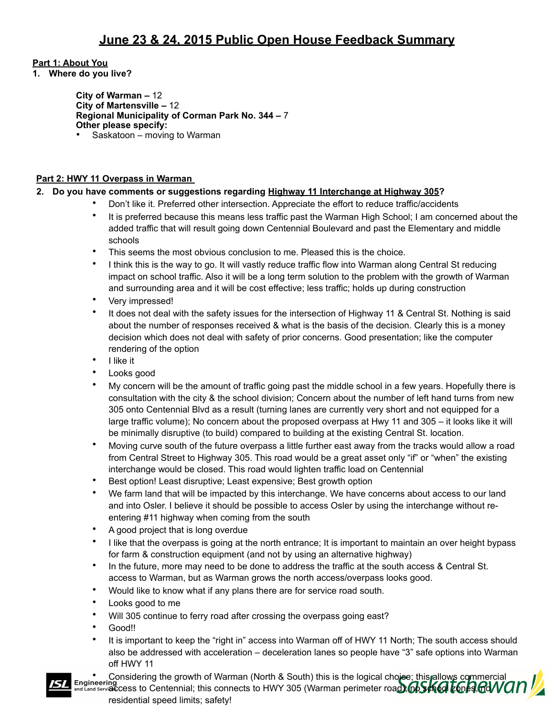## **Part 1: About You**

**1. Where do you live?** 

 **City of Warman –** 12  **City of Martensville –** 12 **Regional Municipality of Corman Park No. 344 –** 7 **Other please specify:** • Saskatoon – moving to Warman

# **Part 2: HWY 11 Overpass in Warman**

# **2. Do you have comments or suggestions regarding Highway 11 Interchange at Highway 305?**

- Don't like it. Preferred other intersection. Appreciate the effort to reduce traffic/accidents
- It is preferred because this means less traffic past the Warman High School; I am concerned about the added traffic that will result going down Centennial Boulevard and past the Elementary and middle schools
- This seems the most obvious conclusion to me. Pleased this is the choice.
- I think this is the way to go. It will vastly reduce traffic flow into Warman along Central St reducing impact on school traffic. Also it will be a long term solution to the problem with the growth of Warman and surrounding area and it will be cost effective; less traffic; holds up during construction
- Very impressed!
- It does not deal with the safety issues for the intersection of Highway 11 & Central St. Nothing is said about the number of responses received & what is the basis of the decision. Clearly this is a money decision which does not deal with safety of prior concerns. Good presentation; like the computer rendering of the option
- I like it
- Looks good
- My concern will be the amount of traffic going past the middle school in a few years. Hopefully there is consultation with the city & the school division; Concern about the number of left hand turns from new 305 onto Centennial Blvd as a result (turning lanes are currently very short and not equipped for a large traffic volume); No concern about the proposed overpass at Hwy 11 and 305 – it looks like it will be minimally disruptive (to build) compared to building at the existing Central St. location.
- Moving curve south of the future overpass a little further east away from the tracks would allow a road from Central Street to Highway 305. This road would be a great asset only "if" or "when" the existing interchange would be closed. This road would lighten traffic load on Centennial
- Best option! Least disruptive; Least expensive; Best growth option
- We farm land that will be impacted by this interchange. We have concerns about access to our land and into Osler. I believe it should be possible to access Osler by using the interchange without reentering #11 highway when coming from the south
- A good project that is long overdue
- I like that the overpass is going at the north entrance; It is important to maintain an over height bypass for farm & construction equipment (and not by using an alternative highway)
- In the future, more may need to be done to address the traffic at the south access & Central St. access to Warman, but as Warman grows the north access/overpass looks good.
- Would like to know what if any plans there are for service road south.
- Looks good to me
- Will 305 continue to ferry road after crossing the overpass going east?
- Good!!
- It is important to keep the "right in" access into Warman off of HWY 11 North; The south access should also be addressed with acceleration – deceleration lanes so people have "3" safe options into Warman off HWY 11
- Considering the growth of Warman (North & South) this is the logical choiee; this allows commercial
- Engineering access to Centennial; this connects to HWY 305 (Warman perimeter road); **66SKGI EGIARGIVO** residential speed limits; safety!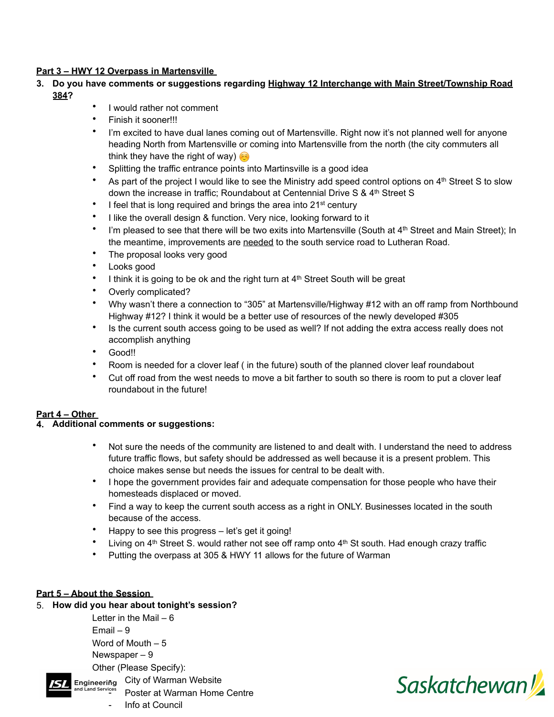### **Part 3 – HWY 12 Overpass in Martensville**

- **3. Do you have comments or suggestions regarding Highway 12 Interchange with Main Street/Township Road 384?** 
	- I would rather not comment
	- Finish it sooner!!!
	- I'm excited to have dual lanes coming out of Martensville. Right now it's not planned well for anyone heading North from Martensville or coming into Martensville from the north (the city commuters all think they have the right of way)
	- Splitting the traffic entrance points into Martinsville is a good idea
	- As part of the project I would like to see the Ministry add speed control options on 4<sup>th</sup> Street S to slow down the increase in traffic; Roundabout at Centennial Drive S & 4<sup>th</sup> Street S
	- I feel that is long required and brings the area into 21<sup>st</sup> century
	- I like the overall design & function. Very nice, looking forward to it
	- I'm pleased to see that there will be two exits into Martensville (South at  $4<sup>th</sup>$  Street and Main Street); In the meantime, improvements are needed to the south service road to Lutheran Road.
	- The proposal looks very good
	- Looks good
	- I think it is going to be ok and the right turn at 4<sup>th</sup> Street South will be great
	- Overly complicated?
	- Why wasn't there a connection to "305" at Martensville/Highway #12 with an off ramp from Northbound Highway #12? I think it would be a better use of resources of the newly developed #305
	- Is the current south access going to be used as well? If not adding the extra access really does not accomplish anything
	- Good!!
	- Room is needed for a clover leaf ( in the future) south of the planned clover leaf roundabout
	- Cut off road from the west needs to move a bit farther to south so there is room to put a clover leaf roundabout in the future!

## **Part 4 – Other**

#### **4. Additional comments or suggestions:**

- Not sure the needs of the community are listened to and dealt with. I understand the need to address future traffic flows, but safety should be addressed as well because it is a present problem. This choice makes sense but needs the issues for central to be dealt with.
- I hope the government provides fair and adequate compensation for those people who have their homesteads displaced or moved.
- Find a way to keep the current south access as a right in ONLY. Businesses located in the south because of the access.
- Happy to see this progress let's get it going!
- Living on  $4<sup>th</sup>$  Street S. would rather not see off ramp onto  $4<sup>th</sup>$  St south. Had enough crazy traffic
- Putting the overpass at 305 & HWY 11 allows for the future of Warman

## **Part 5 – About the Session**

#### 5. **How did you hear about tonight's session?**

Letter in the Mail  $-6$ Email – 9 Word of Mouth – 5 Newspaper – 9 Other (Please Specify): Engineering City of Warman Website Poster at Warman Home Centre

Info at Council

**Saskatchewan**